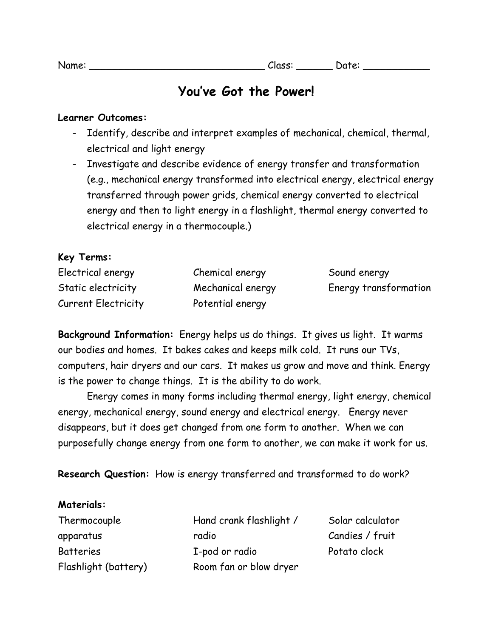| Name: |  |
|-------|--|
|       |  |
|       |  |
|       |  |

# **You've Got the Power!**

### **Learner Outcomes:**

- Identify, describe and interpret examples of mechanical, chemical, thermal, electrical and light energy
- Investigate and describe evidence of energy transfer and transformation (e.g., mechanical energy transformed into electrical energy, electrical energy transferred through power grids, chemical energy converted to electrical energy and then to light energy in a flashlight, thermal energy converted to electrical energy in a thermocouple.)

## **Key Terms:**

| Electrical energy          | Chemical energy   | Sound energy          |
|----------------------------|-------------------|-----------------------|
| Static electricity         | Mechanical energy | Energy transformation |
| <b>Current Electricity</b> | Potential energy  |                       |

**Background Information:** Energy helps us do things. It gives us light. It warms our bodies and homes. It bakes cakes and keeps milk cold. It runs our TVs, computers, hair dryers and our cars. It makes us grow and move and think. Energy is the power to change things. It is the ability to do work.

Energy comes in many forms including thermal energy, light energy, chemical energy, mechanical energy, sound energy and electrical energy. Energy never disappears, but it does get changed from one form to another. When we can purposefully change energy from one form to another, we can make it work for us.

**Research Question:** How is energy transferred and transformed to do work?

#### **Materials:**

Thermocouple apparatus **Batteries** Flashlight (battery) Hand crank flashlight / radio I-pod or radio Room fan or blow dryer

Solar calculator Candies / fruit Potato clock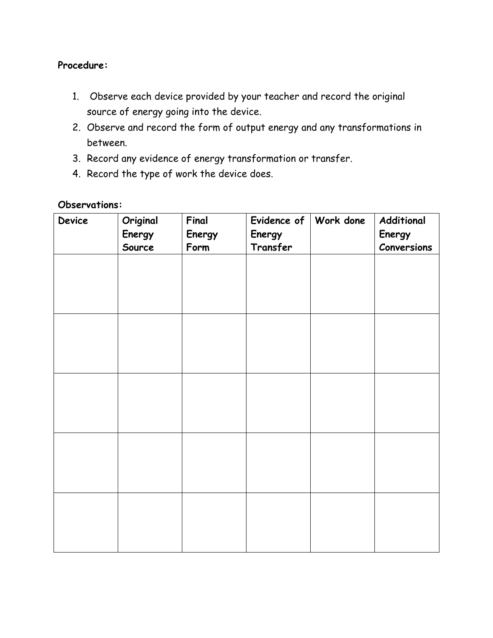## **Procedure:**

- 1. Observe each device provided by your teacher and record the original source of energy going into the device.
- 2. Observe and record the form of output energy and any transformations in between.
- 3. Record any evidence of energy transformation or transfer.
- 4. Record the type of work the device does.

#### **Observations:**

| Device | Original<br>Energy<br>Source | Final<br>Energy<br>Form | Evidence of $ $<br>Energy<br>Transfer | Work done | Additional<br>Energy<br>Conversions |
|--------|------------------------------|-------------------------|---------------------------------------|-----------|-------------------------------------|
|        |                              |                         |                                       |           |                                     |
|        |                              |                         |                                       |           |                                     |
|        |                              |                         |                                       |           |                                     |
|        |                              |                         |                                       |           |                                     |
|        |                              |                         |                                       |           |                                     |
|        |                              |                         |                                       |           |                                     |
|        |                              |                         |                                       |           |                                     |
|        |                              |                         |                                       |           |                                     |
|        |                              |                         |                                       |           |                                     |
|        |                              |                         |                                       |           |                                     |